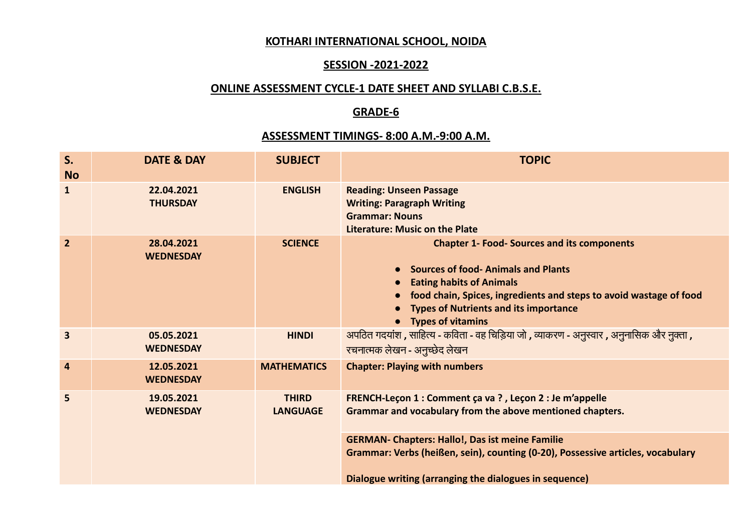### **KOTHARI INTERNATIONAL SCHOOL, NOIDA**

### **SESSION -2021-2022**

# **ONLINE ASSESSMENT CYCLE-1 DATE SHEET AND SYLLABI C.B.S.E.**

### **GRADE-6**

## **ASSESSMENT TIMINGS- 8:00 A.M.-9:00 A.M.**

| $S_{\cdot}$<br><b>No</b> | <b>DATE &amp; DAY</b>          | <b>SUBJECT</b>                  | <b>TOPIC</b>                                                                                                                                                                                                                                                                                                                 |
|--------------------------|--------------------------------|---------------------------------|------------------------------------------------------------------------------------------------------------------------------------------------------------------------------------------------------------------------------------------------------------------------------------------------------------------------------|
| $\mathbf{1}$             | 22.04.2021<br><b>THURSDAY</b>  | <b>ENGLISH</b>                  | <b>Reading: Unseen Passage</b><br><b>Writing: Paragraph Writing</b><br><b>Grammar: Nouns</b><br><b>Literature: Music on the Plate</b>                                                                                                                                                                                        |
| 2 <sup>2</sup>           | 28.04.2021<br><b>WEDNESDAY</b> | <b>SCIENCE</b>                  | <b>Chapter 1- Food- Sources and its components</b><br><b>Sources of food-Animals and Plants</b><br><b>Eating habits of Animals</b><br>food chain, Spices, ingredients and steps to avoid wastage of food<br><b>Types of Nutrients and its importance</b><br>• Types of vitamins                                              |
| $\overline{\mathbf{3}}$  | 05.05.2021<br><b>WEDNESDAY</b> | <b>HINDI</b>                    | अपठित गदयांश , साहित्य - कविता - वह चिड़िया जो , व्याकरण - अनुस्वार , अनुनासिक और नुक्ता ,<br>रचनात्मक लेखन - अनुच्छेद लेखन                                                                                                                                                                                                  |
| $\overline{4}$           | 12.05.2021<br><b>WEDNESDAY</b> | <b>MATHEMATICS</b>              | <b>Chapter: Playing with numbers</b>                                                                                                                                                                                                                                                                                         |
| 5                        | 19.05.2021<br><b>WEDNESDAY</b> | <b>THIRD</b><br><b>LANGUAGE</b> | FRENCH-Leçon 1 : Comment ça va ?, Leçon 2 : Je m'appelle<br>Grammar and vocabulary from the above mentioned chapters.<br><b>GERMAN- Chapters: Hallo!, Das ist meine Familie</b><br>Grammar: Verbs (heißen, sein), counting (0-20), Possessive articles, vocabulary<br>Dialogue writing (arranging the dialogues in sequence) |